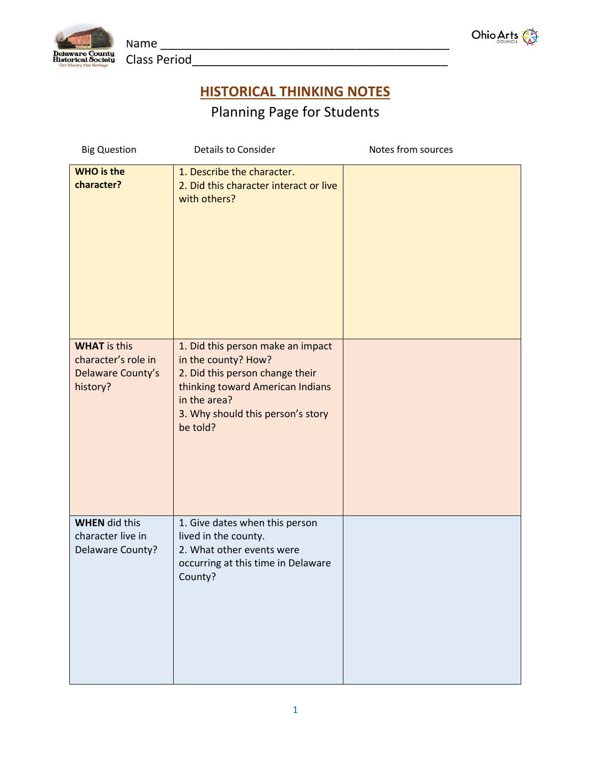



**HISTORICAL THINKING NOTES**

Planning Page for Students

| <b>Big Question</b>                                                         | <b>Details to Consider</b>                                                                                                                                                                       | Notes from sources |
|-----------------------------------------------------------------------------|--------------------------------------------------------------------------------------------------------------------------------------------------------------------------------------------------|--------------------|
| <b>WHO</b> is the<br>character?                                             | 1. Describe the character.<br>2. Did this character interact or live<br>with others?                                                                                                             |                    |
| <b>WHAT</b> is this<br>character's role in<br>Delaware County's<br>history? | 1. Did this person make an impact<br>in the county? How?<br>2. Did this person change their<br>thinking toward American Indians<br>in the area?<br>3. Why should this person's story<br>be told? |                    |
| <b>WHEN</b> did this<br>character live in<br>Delaware County?               | 1. Give dates when this person<br>lived in the county.<br>2. What other events were<br>occurring at this time in Delaware<br>County?                                                             |                    |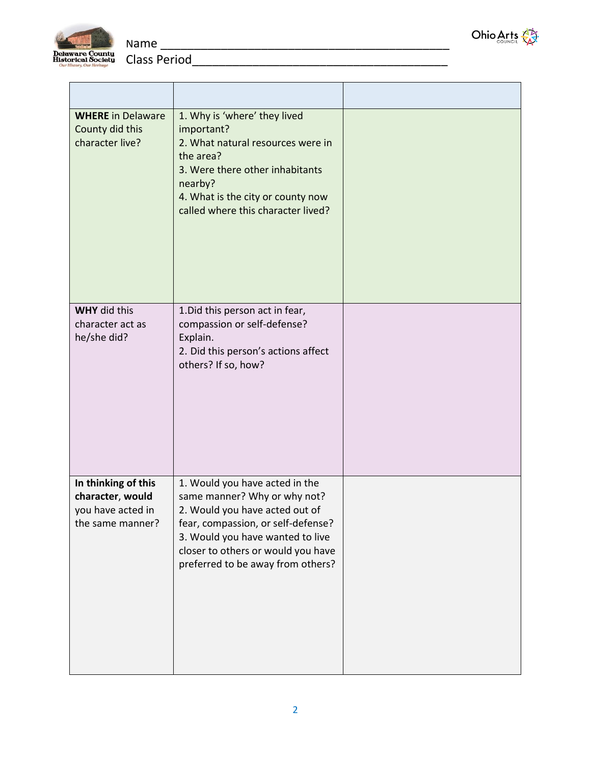



| <b>WHERE</b> in Delaware<br>County did this<br>character live?                   | 1. Why is 'where' they lived<br>important?<br>2. What natural resources were in<br>the area?<br>3. Were there other inhabitants<br>nearby?<br>4. What is the city or county now<br>called where this character lived?                                 |  |
|----------------------------------------------------------------------------------|-------------------------------------------------------------------------------------------------------------------------------------------------------------------------------------------------------------------------------------------------------|--|
| <b>WHY</b> did this<br>character act as<br>he/she did?                           | 1. Did this person act in fear,<br>compassion or self-defense?<br>Explain.<br>2. Did this person's actions affect<br>others? If so, how?                                                                                                              |  |
| In thinking of this<br>character, would<br>you have acted in<br>the same manner? | 1. Would you have acted in the<br>same manner? Why or why not?<br>2. Would you have acted out of<br>fear, compassion, or self-defense?<br>3. Would you have wanted to live<br>closer to others or would you have<br>preferred to be away from others? |  |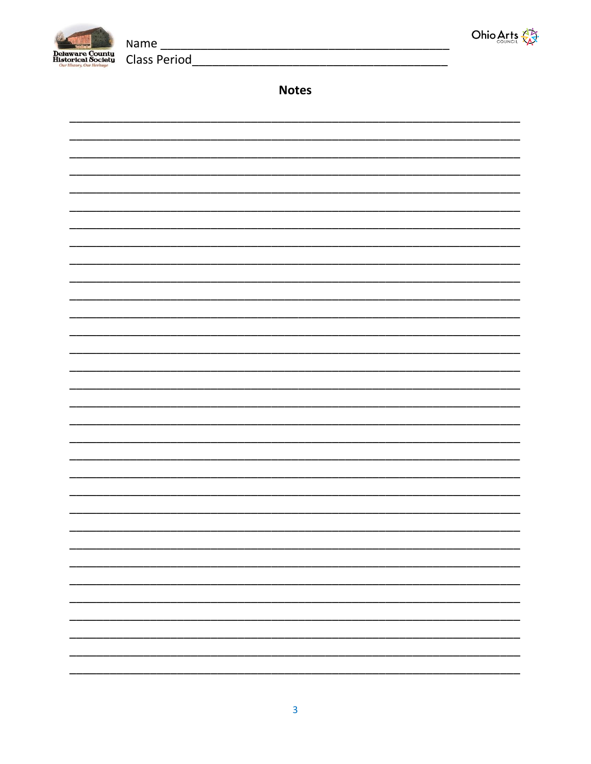



**Notes** 

**Class Period**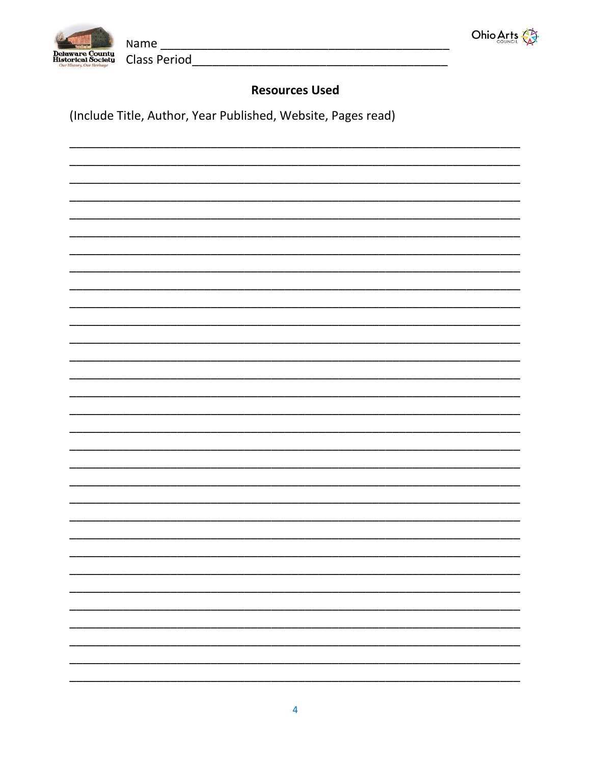



**Class Period** 

## **Resources Used**

(Include Title, Author, Year Published, Website, Pages read)